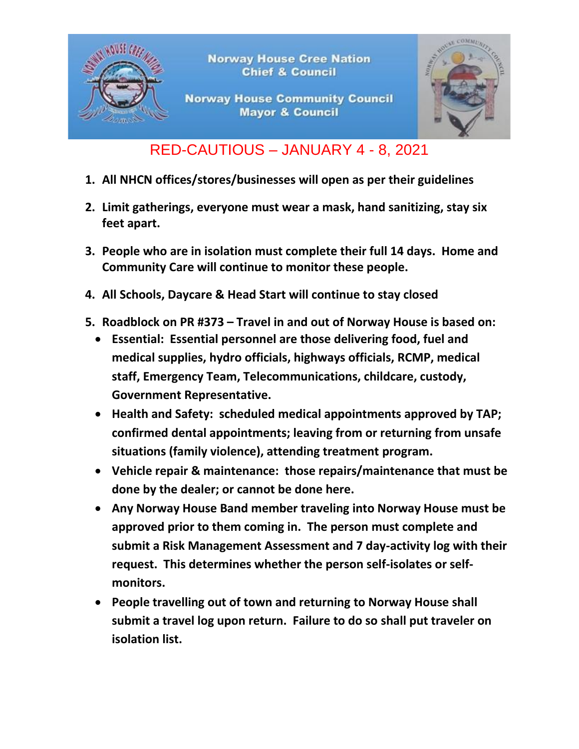

## RED-CAUTIOUS – JANUARY 4 - 8, 2021

- **1. All NHCN offices/stores/businesses will open as per their guidelines**
- **2. Limit gatherings, everyone must wear a mask, hand sanitizing, stay six feet apart.**
- **3. People who are in isolation must complete their full 14 days. Home and Community Care will continue to monitor these people.**
- **4. All Schools, Daycare & Head Start will continue to stay closed**
- **5. Roadblock on PR #373 – Travel in and out of Norway House is based on:**
	- **Essential: Essential personnel are those delivering food, fuel and medical supplies, hydro officials, highways officials, RCMP, medical staff, Emergency Team, Telecommunications, childcare, custody, Government Representative.**
	- **Health and Safety: scheduled medical appointments approved by TAP; confirmed dental appointments; leaving from or returning from unsafe situations (family violence), attending treatment program.**
	- **Vehicle repair & maintenance: those repairs/maintenance that must be done by the dealer; or cannot be done here.**
	- **Any Norway House Band member traveling into Norway House must be approved prior to them coming in. The person must complete and submit a Risk Management Assessment and 7 day-activity log with their request. This determines whether the person self-isolates or selfmonitors.**
	- **People travelling out of town and returning to Norway House shall submit a travel log upon return. Failure to do so shall put traveler on isolation list.**